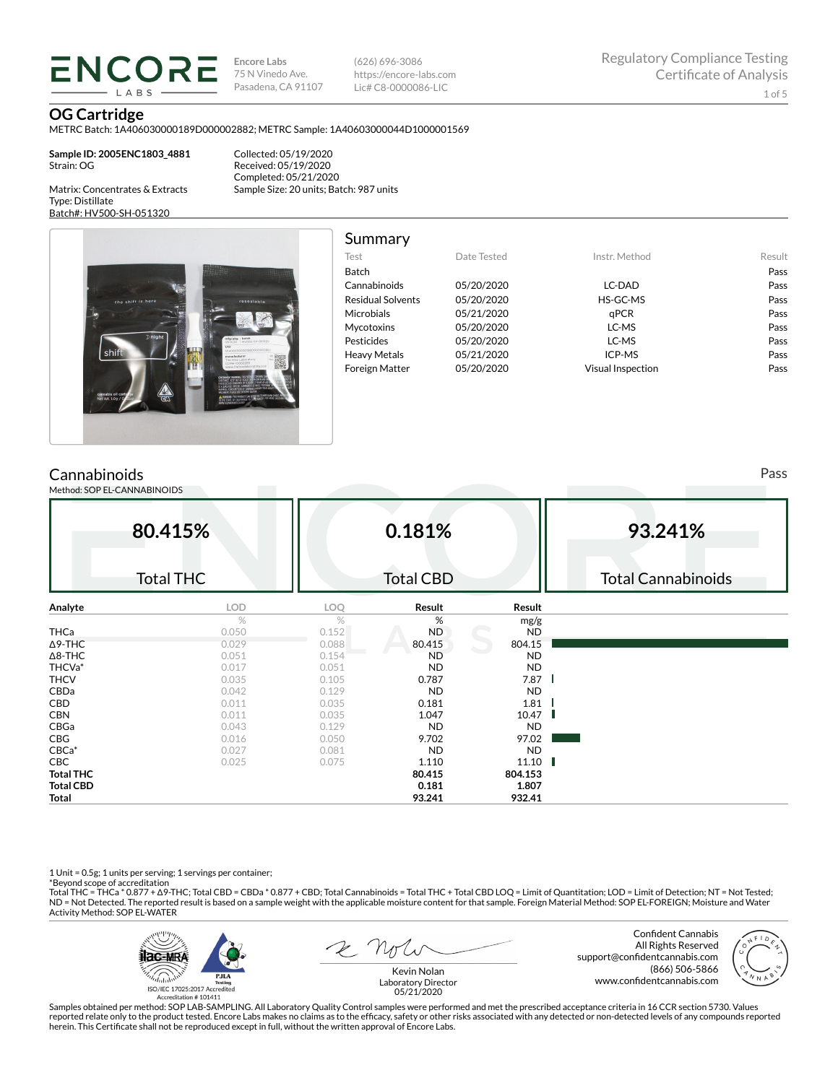**ENCORE IARS** 

**Encore Labs** 75 N Vinedo Ave. Pasadena, CA 91107

(626) 696-3086 https://encore-labs.com Lic# C8-0000086-LIC

**OG Cartridge**

Type: Distillate

METRC Batch: 1A406030000189D000002882; METRC Sample: 1A40603000044D1000001569

**Sample ID: 2005ENC1803\_4881** Strain: OG

Matrix: Concentrates & Extracts

Batch#: HV500-SH-051320

Collected: 05/19/2020 Received: 05/19/2020 Completed: 05/21/2020 Sample Size: 20 units; Batch: 987 units



### Summary

| ounnnur y                |             |                          |        |
|--------------------------|-------------|--------------------------|--------|
| Test                     | Date Tested | Instr. Method            | Result |
| Batch                    |             |                          | Pass   |
| Cannabinoids             | 05/20/2020  | LC-DAD                   | Pass   |
| <b>Residual Solvents</b> | 05/20/2020  | HS-GC-MS                 | Pass   |
| Microbials               | 05/21/2020  | aPCR                     | Pass   |
| <b>Mycotoxins</b>        | 05/20/2020  | LC-MS                    | Pass   |
| Pesticides               | 05/20/2020  | LC-MS                    | Pass   |
| <b>Heavy Metals</b>      | 05/21/2020  | ICP-MS                   | Pass   |
| <b>Foreign Matter</b>    | 05/20/2020  | <b>Visual Inspection</b> | Pass   |
|                          |             |                          |        |

# **Cannabinoids**

Method: SOP EL-CANNABINOIDS

**80.415%** Total THC **0.181%** Total CBD **93.241%** Total Cannabinoids **Analyte LOD LOQ Result Result** %  $\%$  mg/g **THCa** 0.050 0.152 ND ND ND  $\Delta$ 9-THC 804.15 0.029 0.088 80.415 804.15 Δ8-THC 0.051 0.154 ND ND THCVa\* 0.017 0.051 ND ND THCV 0.035 0.105 0.787 7.87 CBDa 0.042 0.129 ND ND **CBD** 0.011 0.035 **0.181 1.81 CBN** 0.011 0.035 **1.047 10.47** 10.47 CBGa 0.043 0.129 ND ND **CBG** 0.016 0.050 **9.702 97.02** CBCa\* 0.027 0.081 ND ND **CBC** 0.025 0.075 **1.110 11.10 Total THC 80.415 804.153 Total CBD 0.181 1.807 Total 93.241 932.41**

1 Unit = 0.5g; 1 units per serving; 1 servings per container;

\*Beyond scope of accreditation<br>Total THC = THCa \* 0.877 + ∆9-THC; Total CBD = CBDa \* 0.877 + CBD; Total Cannabinoids = Total THC + Total CBD LOQ = Limit of Quantitation; LOD = Limit of Detection; NT = Not Tested; ND = Not Detected. The reported result is based on a sample weight with the applicable moisture content for that sample. Foreign Material Method: SOP EL-FOREIGN; Moisture and Water Activity Method: SOP EL-WATER



Confident Cannabis All Rights Reserved support@confidentcannabis.com (866) 506-5866 www.confidentcannabis.com



Kevin Nolan Laboratory Director 05/21/2020

Samples obtained per method: SOP LAB-SAMPLING. All Laboratory Quality Control samples were performed and met the prescribed acceptance criteria in 16 CCR section 5730. Values reported relate only to the product tested. Encore Labs makes no claims as to the efficacy, safety or other risks associated with any detected or non-detected levels of any compounds reported<br>herein. This Certificate shall

Pass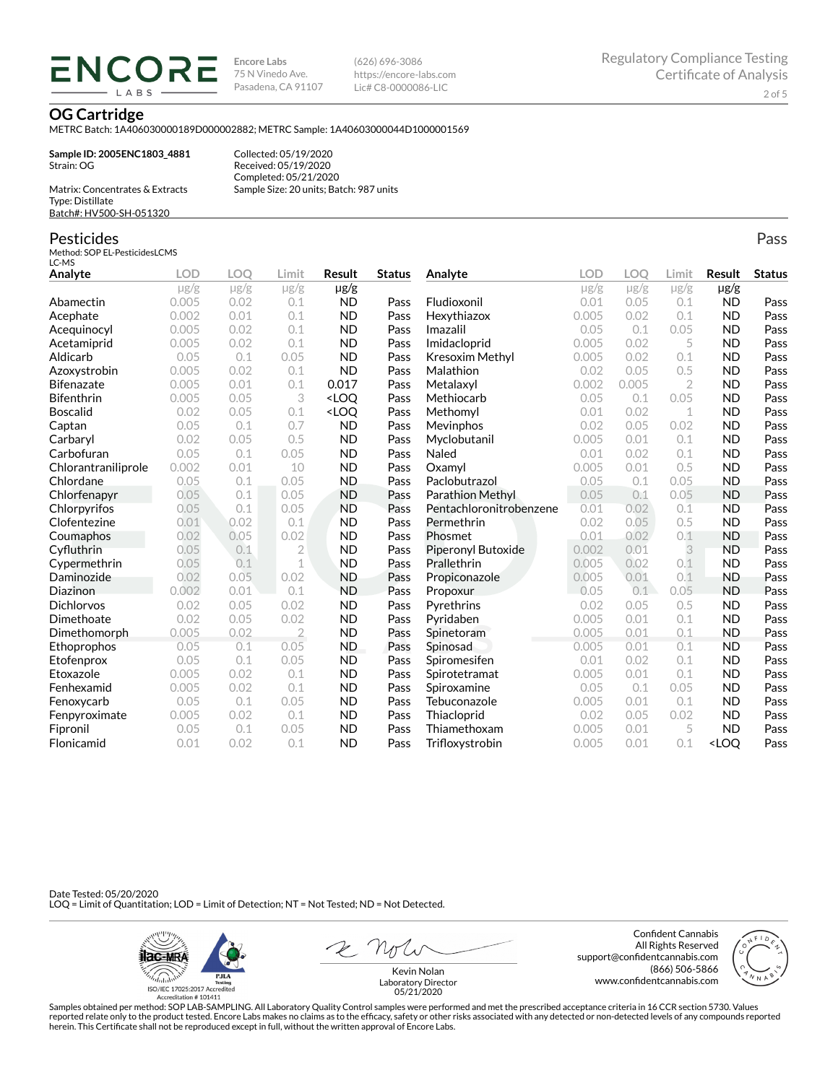ENCORE **IARS** 

**Encore Labs** 75 N Vinedo Ave. Pasadena, CA 91107 (626) 696-3086 https://encore-labs.com Lic# C8-0000086-LIC

**OG Cartridge**

METRC Batch: 1A406030000189D000002882; METRC Sample: 1A40603000044D1000001569

**Sample ID: 2005ENC1803\_4881** Strain: OG

Collected: 05/19/2020 Received: 05/19/2020 Completed: 05/21/2020 Sample Size: 20 units; Batch: 987 units

Matrix: Concentrates & Extracts Type: Distillate Batch#: HV500-SH-051320

#### Pesticides

Method: SOP EL-PesticidesLCMS LC-MS

**Analyte LOD LOQ Limit Result Status**  $\mu$ g/g  $\mu$ g/g  $\mu$ g/g  $\mu$ g/g Abamectin 0.005 0.02 0.1 ND Pass Acephate 0.002 0.01 0.1 ND Pass Acequinocyl 0.005 0.02 0.1 ND Pass Acetamiprid 0.005 0.02 0.1 ND Pass Aldicarb 0.05 0.1 0.05 ND Pass Azoxystrobin 0.005 0.02 0.1 ND Pass **Bifenazate** 0.005 0.01 0.1 **0.017 Pass** Bifenthrin 0.005 0.05 3 <LOQ Pass Boscalid 0.02 0.05 0.1 <LOQ Pass **Captan 12.1 0.05 0.1 0.7 ND Pass** Carbaryl 0.02 0.05 0.5 ND Pass Carbofuran 0.05 0.1 0.05 ND Pass Chlorantraniliprole 0.002 0.01 10 ND Pass Chlordane 0.05 0.1 0.05 ND Pass Chlorfenapyr 0.05 0.1 0.05 ND Pass Chlorpyrifos 0.05 0.1 0.05 ND Pass Clofentezine 0.01 0.02 0.1 ND Pass Coumaphos 0.02 0.05 0.02 ND Pass Cyfluthrin 0.05 0.1 2 ND Pass Cypermethrin 0.05 0.1 1 ND Pass Daminozide 0.02 0.05 0.02 ND Pass **Diazinon** 0.002 0.01 0.1 ND Pass Dichlorvos 0.02 0.05 0.02 ND Pass Dimethoate 0.02 0.05 0.02 ND Pass Dimethomorph 0.005 0.02 2 ND Pass Ethoprophos 0.05 0.1 0.05 ND Pass Etofenprox 0.05 0.1 0.05 ND Pass Etoxazole 0.005 0.02 0.1 ND Pass Fenhexamid 0.005 0.02 0.1 ND Pass Fenoxycarb 0.05 0.1 0.05 ND Pass Fenpyroximate 0.005 0.02 0.1 ND Pass Fipronil 0.05 0.1 0.05 ND Pass Flonicamid 0.01 0.02 0.1 ND Pass **Analyte LOD LOQ Limit Result Status**  $\mu$ g/g  $\mu$ g/g  $\mu$ g/g  $\mu$ g/g Fludioxonil 0.01 0.05 0.1 ND Pass Hexythiazox 0.005 0.02 0.1 ND Pass **Imazalil 11 0.05 0.1 0.05 ND Pass** Imidacloprid 0.005 0.02 5 ND Pass Kresoxim Methyl  $0.005$  0.02 0.1 ND Pass **Malathion** 0.02 0.05 0.5 **ND Pass** Metalaxyl 0.002 0.005 2 ND Pass Methiocarb 0.05 0.1 0.05 ND Pass **Methomyl** 0.01 0.02 1 **ND Pass** Mevinphos 0.02 0.05 0.02 ND Pass Myclobutanil 0.005 0.01 0.1 ND Pass **Naled 1200 0.01 0.02 0.1 ND Pass Oxamyl** 0.005 0.01 0.5 **ND Pass** Paclobutrazol 0.05 0.1 0.05 ND Pass Parathion Methyl 0.05 0.1 0.05 ND Pass Pentachloronitrobenzene 0.01 0.02 0.1 ND Pass Permethrin 0.02 0.05 0.5 ND Pass Phosmet 0.01 0.02 0.1 ND Pass Piperonyl Butoxide 0.002 0.01 3 ND Pass Prallethrin 0.005 0.02 0.1 ND Pass Propiconazole 0.005 0.01 0.1 ND Pass **Propoxur 1988 0.05 0.1 0.05 ND Pass Pyrethrins 0.02 0.05 0.5 ND Pass Pyridaben 1988 0.005 0.01 0.1 ND Pass Spinetoram 0.005 0.01 0.1 ND Pass** Spinosad 0.005 0.01 0.1 ND Pass Spiromesifen 0.01 0.02 0.1 ND Pass Spirotetramat 0.005 0.01 0.1 ND Pass Spiroxamine 0.05 0.1 0.05 ND Pass Tebuconazole  $0.005$  0.01 0.1 ND Pass Thiacloprid 0.02 0.05 0.02 ND Pass Thiamethoxam 0.005 0.01 5 ND Pass Trifloxystrobin 0.005 0.01 0.1 <LOQ Pass

Date Tested: 05/20/2020 LOQ = Limit of Quantitation; LOD = Limit of Detection; NT = Not Tested; ND = Not Detected.



2 Not

Confident Cannabis All Rights Reserved support@confidentcannabis.com (866) 506-5866 www.confidentcannabis.com



Kevin Nolan Laboratory Director 05/21/2020

Samples obtained per method: SOP LAB-SAMPLING. All Laboratory Quality Control samples were performed and met the prescribed acceptance criteria in 16 CCR section 5730. Values reported relate only to the product tested. Encore Labs makes no claims as to the efficacy, safety or other risks associated with any detected or non-detected levels of any compounds reported herein. This Certificate shall not be reproduced except in full, without the written approval of Encore Labs.

Pass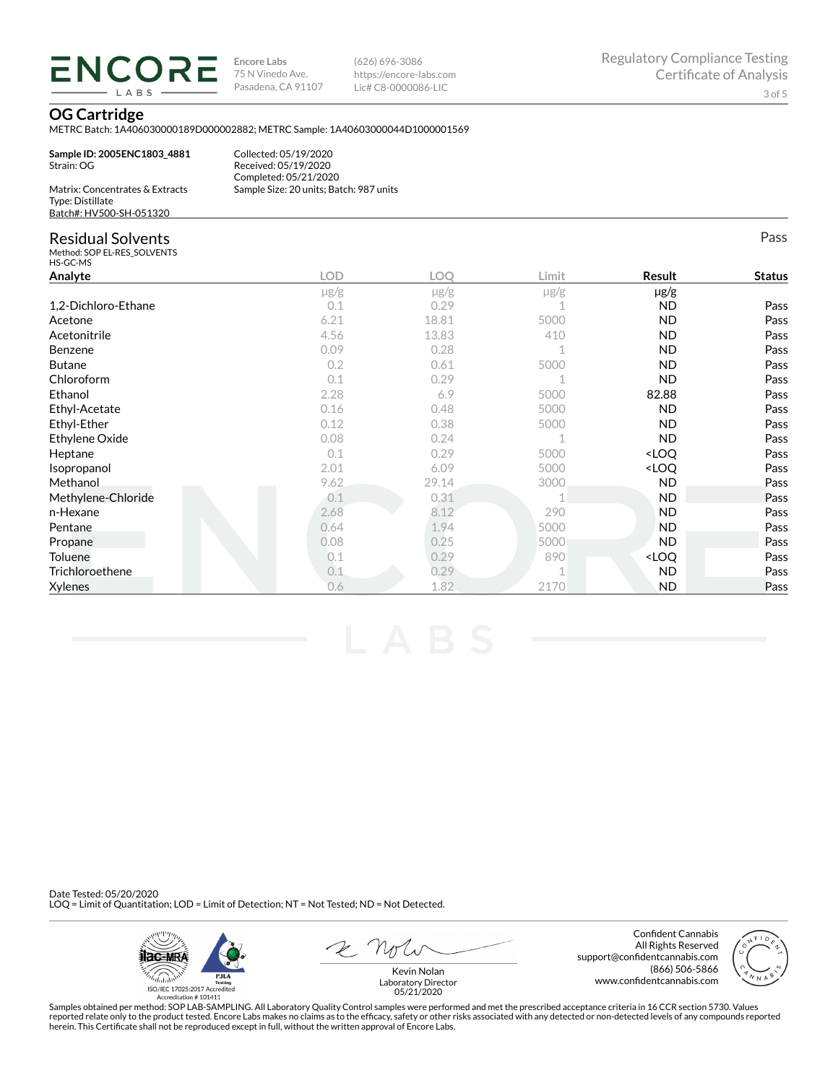**ENCORE** LABS

**Encore Labs** 75 N Vinedo Ave. Pasadena, CA 91107 (626) 696-3086 https://encore-labs.com Lic# C8-0000086-LIC

Pass

### **OG Cartridge**

METRC Batch: 1A406030000189D000002882; METRC Sample: 1A40603000044D1000001569

**Sample ID: 2005ENC1803\_4881** Strain: OG

Collected: 05/19/2020 Received: 05/19/2020 Completed: 05/21/2020 Sample Size: 20 units; Batch: 987 units

| Matrix: Concentrates & Extracts |
|---------------------------------|
| Type: Distillate                |
| Batch#: HV500-SH-051320         |

### Residual Solvents

Method: SOP EL-RES\_SOLVENTS HS-GC-MS

| טויו טט טו          |            |           |           |                                  |               |
|---------------------|------------|-----------|-----------|----------------------------------|---------------|
| Analyte             | <b>LOD</b> | LOO       | Limit     | Result                           | <b>Status</b> |
|                     | $\mu$ g/g  | $\mu$ g/g | $\mu$ g/g | $\mu$ g/g                        |               |
| 1,2-Dichloro-Ethane | 0.1        | 0.29      |           | <b>ND</b>                        | Pass          |
| Acetone             | 6.21       | 18.81     | 5000      | <b>ND</b>                        | Pass          |
| Acetonitrile        | 4.56       | 13.83     | 410       | <b>ND</b>                        | Pass          |
| Benzene             | 0.09       | 0.28      |           | <b>ND</b>                        | Pass          |
| <b>Butane</b>       | 0.2        | 0.61      | 5000      | <b>ND</b>                        | Pass          |
| Chloroform          | 0.1        | 0.29      |           | ND.                              | Pass          |
| Ethanol             | 2.28       | 6.9       | 5000      | 82.88                            | Pass          |
| Ethyl-Acetate       | 0.16       | 0.48      | 5000      | ND.                              | Pass          |
| Ethyl-Ether         | 0.12       | 0.38      | 5000      | ND.                              | Pass          |
| Ethylene Oxide      | 0.08       | 0.24      |           | <b>ND</b>                        | Pass          |
| Heptane             | 0.1        | 0.29      | 5000      | <loq< td=""><td>Pass</td></loq<> | Pass          |
| Isopropanol         | 2.01       | 6.09      | 5000      | <loq< td=""><td>Pass</td></loq<> | Pass          |
| Methanol            | 9.62       | 29.14     | 3000      | <b>ND</b>                        | Pass          |
| Methylene-Chloride  | 0.1        | 0.31      |           | <b>ND</b>                        | Pass          |
| n-Hexane            | 2.68       | 8.12      | 290       | <b>ND</b>                        | Pass          |
| Pentane             | 0.64       | 1.94      | 5000      | <b>ND</b>                        | Pass          |
| Propane             | 0.08       | 0.25      | 5000      | <b>ND</b>                        | Pass          |
| <b>Toluene</b>      | 0.1        | 0.29      | 890       | <loq< td=""><td>Pass</td></loq<> | Pass          |
| Trichloroethene     | 0.1        | 0.29      |           | ND.                              | Pass          |
| <b>Xylenes</b>      | 0.6        | 1.82      | 2170      | <b>ND</b>                        | Pass          |

Date Tested: 05/20/2020 LOQ = Limit of Quantitation; LOD = Limit of Detection; NT = Not Tested; ND = Not Detected.



 $R$   $\gamma$ 

Confident Cannabis All Rights Reserved support@confidentcannabis.com (866) 506-5866 www.confidentcannabis.com



Kevin Nolan Laboratory Director 05/21/2020

Samples obtained per method: SOP LAB-SAMPLING. All Laboratory Quality Control samples were performed and met the prescribed acceptance criteria in 16 CCR section 5730. Values reported relate only to the product tested. Encore Labs makes no claims as to the efficacy, safety or other risks associated with any detected or non-detected levels of any compounds reported<br>herein. This Certificate shall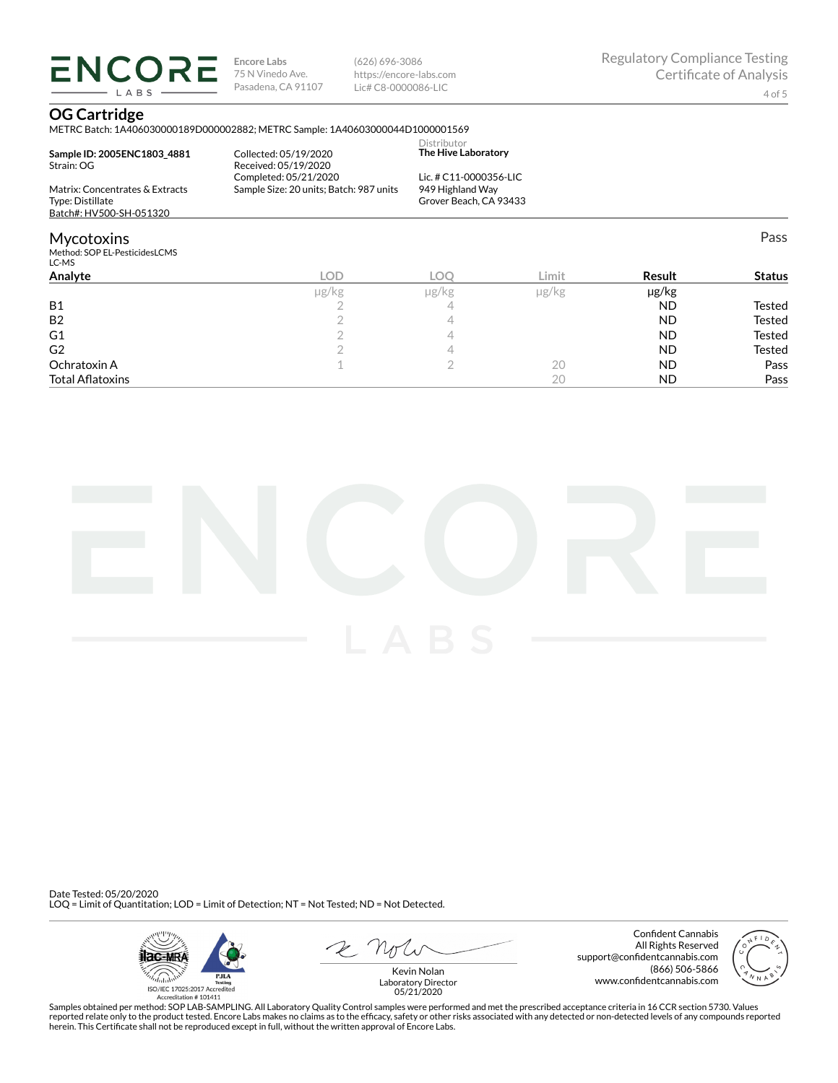**ENCORE Encore Labs** 75 N Vinedo Ave. Pasadena, CA 91107

(626) 696-3086 https://encore-labs.com Lic# C8-0000086-LIC

Pass

## **OG Cartridge**

LABS

METRC Batch: 1A406030000189D000002882; METRC Sample: 1A40603000044D1000001569

| Sample ID: 2005ENC1803 4881<br>Strain: OG                                      | Collected: 05/19/2020<br>Received: 05/19/2020<br>Completed: 05/21/2020 | Distributor<br>The Hive Laboratory<br>Lic. # C11-0000356-LIC |  |
|--------------------------------------------------------------------------------|------------------------------------------------------------------------|--------------------------------------------------------------|--|
| Matrix: Concentrates & Extracts<br>Type: Distillate<br>Batch#: HV500-SH-051320 | Sample Size: 20 units; Batch: 987 units                                | 949 Highland Way<br>Grover Beach, CA 93433                   |  |
| Mycotoxins<br>Method: SOP EL-PesticidesLCMS<br>LC-MS                           |                                                                        |                                                              |  |
| .                                                                              |                                                                        |                                                              |  |

| LC-MS                   |            |            |            |           |               |
|-------------------------|------------|------------|------------|-----------|---------------|
| Analyte                 | <b>LOD</b> | <b>LOC</b> | ∟imit      | Result    | <b>Status</b> |
|                         | µg/kg      | µg/kg      | $\mu$ g/kg | µg/kg     |               |
| <b>B1</b>               |            |            |            | <b>ND</b> | Tested        |
| <b>B2</b>               |            |            |            | <b>ND</b> | <b>Tested</b> |
| G1                      |            |            |            | <b>ND</b> | <b>Tested</b> |
| G <sub>2</sub>          |            |            |            | <b>ND</b> | Tested        |
| Ochratoxin A            |            |            | 20         | <b>ND</b> | Pass          |
| <b>Total Aflatoxins</b> |            |            | 20         | <b>ND</b> | Pass          |



Date Tested: 05/20/2020 LOQ = Limit of Quantitation; LOD = Limit of Detection; NT = Not Tested; ND = Not Detected.



 $R$  Mr

Confident Cannabis All Rights Reserved support@confidentcannabis.com (866) 506-5866 www.confidentcannabis.com



Kevin Nolan Laboratory Director 05/21/2020

Samples obtained per method: SOP LAB-SAMPLING. All Laboratory Quality Control samples were performed and met the prescribed acceptance criteria in 16 CCR section 5730. Values reported relate only to the product tested. Encore Labs makes no claims as to the efficacy, safety or other risks associated with any detected or non-detected levels of any compounds reported<br>herein. This Certificate shall